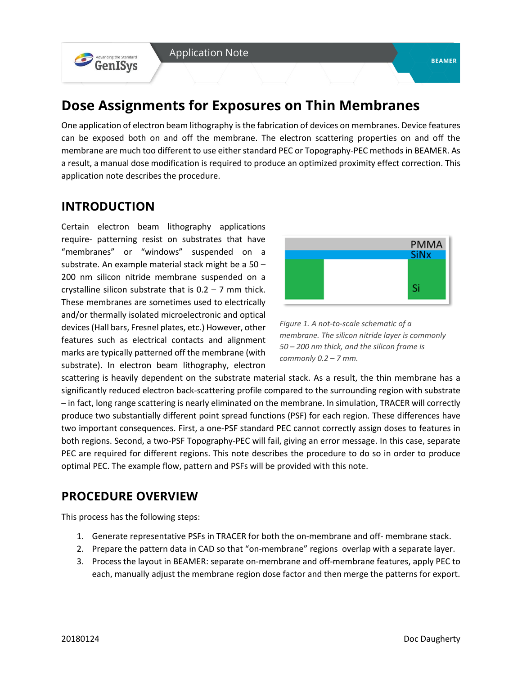# **Dose Assignments for Exposures on Thin Membranes**

One application of electron beam lithography is the fabrication of devices on membranes. Device features can be exposed both on and off the membrane. The electron scattering properties on and off the membrane are much too different to use either standard PEC or Topography-PEC methods in BEAMER. As a result, a manual dose modification is required to produce an optimized proximity effect correction. This application note describes the procedure.

### **INTRODUCTION**

Advancing the Standard

Certain electron beam lithography applications require- patterning resist on substrates that have "membranes" or "windows" suspended on a substrate. An example material stack might be a 50 – 200 nm silicon nitride membrane suspended on a crystalline silicon substrate that is  $0.2 - 7$  mm thick. These membranes are sometimes used to electrically and/or thermally isolated microelectronic and optical devices (Hall bars, Fresnel plates, etc.) However, other features such as electrical contacts and alignment marks are typically patterned off the membrane (with substrate). In electron beam lithography, electron



*Figure 1. A not-to-scale schematic of a membrane. The silicon nitride layer is commonly 50 – 200 nm thick, and the silicon frame is commonly 0.2 – 7 mm.* 

scattering is heavily dependent on the substrate material stack. As a result, the thin membrane has a significantly reduced electron back-scattering profile compared to the surrounding region with substrate – in fact, long range scattering is nearly eliminated on the membrane. In simulation, TRACER will correctly produce two substantially different point spread functions (PSF) for each region. These differences have two important consequences. First, a one-PSF standard PEC cannot correctly assign doses to features in both regions. Second, a two-PSF Topography-PEC will fail, giving an error message. In this case, separate PEC are required for different regions. This note describes the procedure to do so in order to produce optimal PEC. The example flow, pattern and PSFs will be provided with this note.

### **PROCEDURE OVERVIEW**

This process has the following steps:

- 1. Generate representative PSFs in TRACER for both the on-membrane and off- membrane stack.
- 2. Prepare the pattern data in CAD so that "on-membrane" regions overlap with a separate layer.
- 3. Process the layout in BEAMER: separate on-membrane and off-membrane features, apply PEC to each, manually adjust the membrane region dose factor and then merge the patterns for export.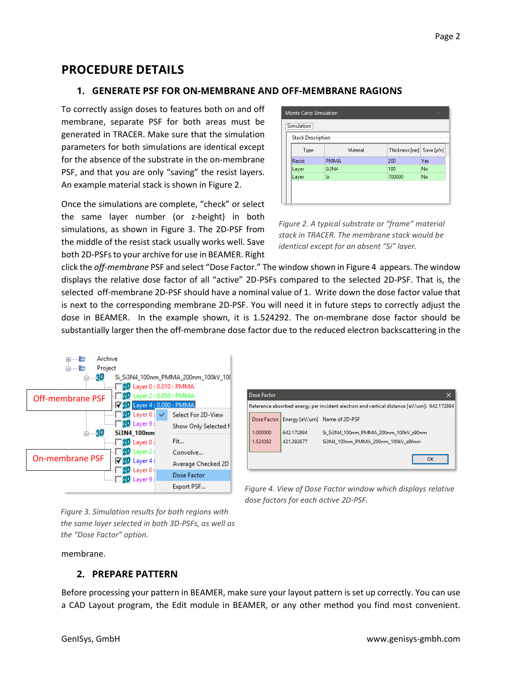### **PROCEDURE DETAILS**

#### **1. GENERATE PSF FOR ON-MEMBRANE AND OFF-MEMBRANE RAGIONS**

To correctly assign doses to features both on and off membrane, separate PSF for both areas must be generated in TRACER. Make sure that the simulation parameters for both simulations are identical except for the absence of the substrate in the on-membrane PSF, and that you are only "saving" the resist layers. An example material stack is shown in Figure 2.

Once the simulations are complete, "check" or select the same layer number (or z-height) in both simulations, as shown in Figure 3. The 2D-PSF from the middle of the resist stack usually works well. Save both 2D-PSFs to your archive for use in BEAMER. Right

| :<br><b>Stack Description</b> |             |                           |     |
|-------------------------------|-------------|---------------------------|-----|
| Type                          | Material    | Thickness [nm] Save [y/n] |     |
| <b>Resist</b>                 | <b>PMMA</b> | 200                       | Yes |
| Layer                         | Si3N4       | 100                       | No  |
| Layer                         | Si          | 700000                    | No  |

*Figure 2. A typical substrate or "frame" material stack in TRACER. The membrane stack would be identical except for an absent "Si" layer.* 

click the *off-membrane* PSF and select "Dose Factor." The window shown in Figure 4 appears. The window displays the relative dose factor of all "active" 2D-PSFs compared to the selected 2D-PSF. That is, the selected off-membrane 2D-PSF should have a nominal value of 1. Write down the dose factor value that is next to the corresponding membrane 2D-PSF. You will need it in future steps to correctly adjust the dose in BEAMER. In the example shown, it is 1.524292. The on-membrane dose factor should be substantially larger then the off-membrane dose factor due to the reduced electron backscattering in the



| <b>Dose Factor</b>                                                                        |            |                                             |  |
|-------------------------------------------------------------------------------------------|------------|---------------------------------------------|--|
| Reference absorbed energy per incident electron and vertical distance [eV/um]: 642.172894 |            |                                             |  |
|                                                                                           |            | Dose Factor   Energy [eV/um] Name of 2D-PSF |  |
| 1.000000                                                                                  | 642.172894 | Si Si3N4 100nm PMMA 200nm 100kV z90nm       |  |
| 1.524292                                                                                  | 421.292677 | Si3N4 100nm PMMA 200nm 100kV z90nm          |  |
|                                                                                           |            |                                             |  |
|                                                                                           |            |                                             |  |

*Figure 4. View of Dose Factor window which displays relative dose factors for each active 2D-PSF.*

*Figure 3. Simulation results for both regions with the same layer selected in both 3D-PSFs, as well as the "Dose Factor" option.*

membrane.

#### **2. PREPARE PATTERN**

Before processing your pattern in BEAMER, make sure your layout pattern is set up correctly. You can use a CAD Layout program, the Edit module in BEAMER, or any other method you find most convenient.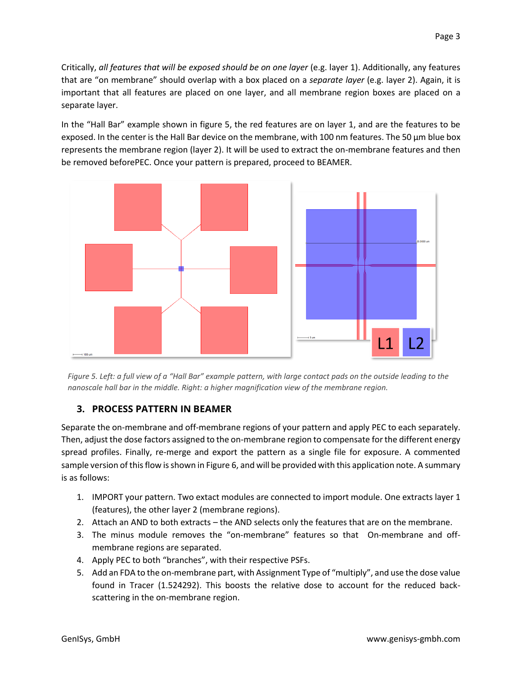Critically, *all features that will be exposed should be on one layer* (e.g. layer 1). Additionally, any features that are "on membrane" should overlap with a box placed on a *separate layer* (e.g. layer 2). Again, it is important that all features are placed on one layer, and all membrane region boxes are placed on a separate layer.

In the "Hall Bar" example shown in figure 5, the red features are on layer 1, and are the features to be exposed. In the center is the Hall Bar device on the membrane, with 100 nm features. The 50 µm blue box represents the membrane region (layer 2). It will be used to extract the on-membrane features and then be removed beforePEC. Once your pattern is prepared, proceed to BEAMER.



*Figure 5. Left: a full view of a "Hall Bar" example pattern, with large contact pads on the outside leading to the nanoscale hall bar in the middle. Right: a higher magnification view of the membrane region.* 

#### **3. PROCESS PATTERN IN BEAMER**

Separate the on-membrane and off-membrane regions of your pattern and apply PEC to each separately. Then, adjust the dose factors assigned to the on-membrane region to compensate for the different energy spread profiles. Finally, re-merge and export the pattern as a single file for exposure. A commented sample version of this flow is shown in Figure 6, and will be provided with this application note. A summary is as follows:

- 1. IMPORT your pattern. Two extact modules are connected to import module. One extracts layer 1 (features), the other layer 2 (membrane regions).
- 2. Attach an AND to both extracts the AND selects only the features that are on the membrane.
- 3. The minus module removes the "on-membrane" features so that On-membrane and offmembrane regions are separated.
- 4. Apply PEC to both "branches", with their respective PSFs.
- 5. Add an FDA to the on-membrane part, with Assignment Type of "multiply", and use the dose value found in Tracer (1.524292). This boosts the relative dose to account for the reduced backscattering in the on-membrane region.